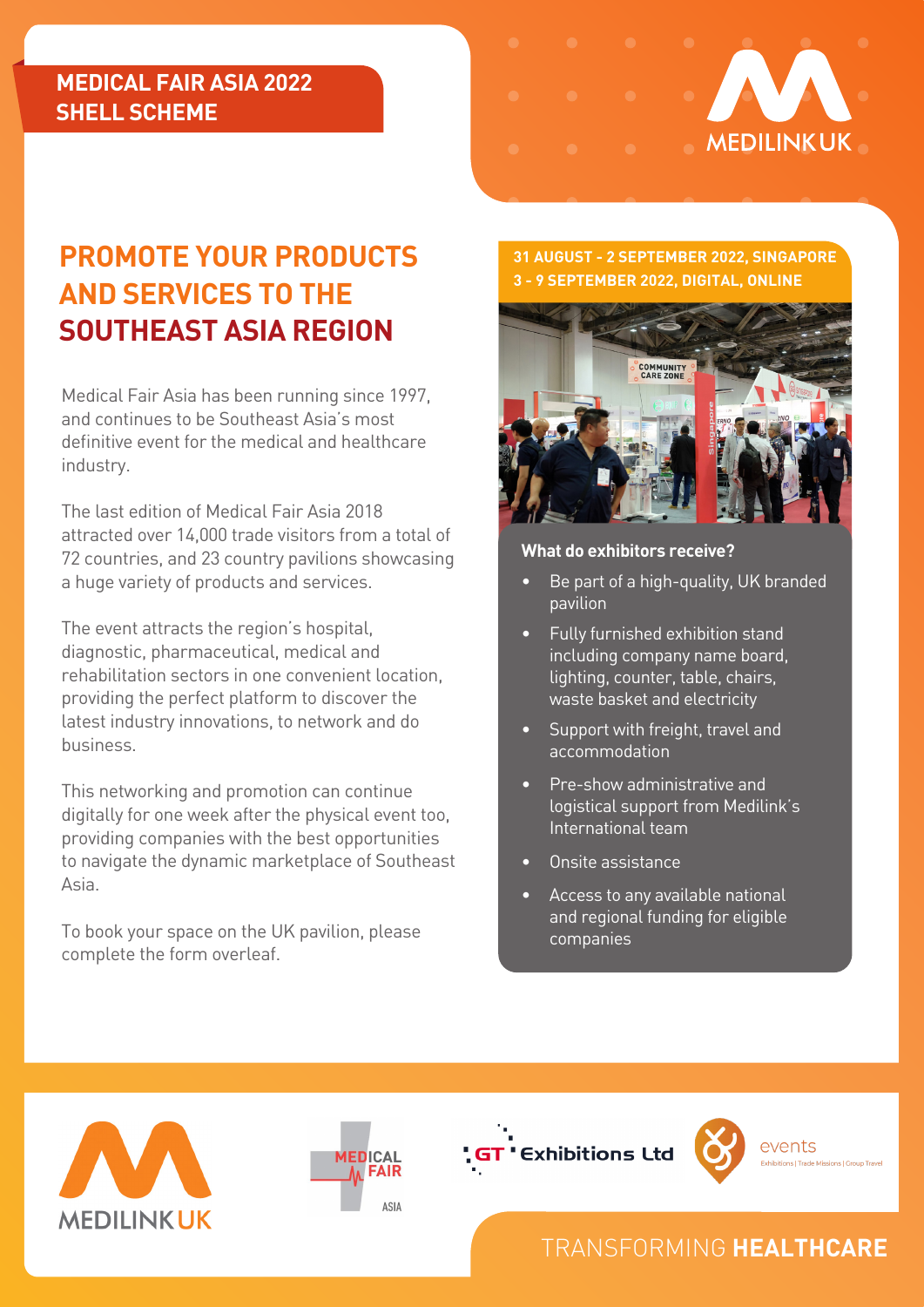## **MEDICAL FAIR ASIA 2022 SHELL SCHEME**



# **PROMOTE YOUR PRODUCTS AND SERVICES TO THE SOUTHEAST ASIA REGION**

Medical Fair Asia has been running since 1997, and continues to be Southeast Asia's most definitive event for the medical and healthcare industry.

The last edition of Medical Fair Asia 2018 attracted over 14,000 trade visitors from a total of 72 countries, and 23 country pavilions showcasing a huge variety of products and services.

The event attracts the region's hospital, diagnostic, pharmaceutical, medical and rehabilitation sectors in one convenient location, providing the perfect platform to discover the latest industry innovations, to network and do business.

This networking and promotion can continue digitally for one week after the physical event too, providing companies with the best opportunities to navigate the dynamic marketplace of Southeast Asia.

To book your space on the UK pavilion, please complete the form overleaf.

### **31 AUGUST - 2 SEPTEMBER 2022, SINGAPORE 3 - 9 SEPTEMBER 2022, DIGITAL, ONLINE**



#### **What do exhibitors receive?**

- Be part of a high-quality, UK branded pavilion
- Fully furnished exhibition stand including company name board, lighting, counter, table, chairs, waste basket and electricity
- Support with freight, travel and accommodation
- Pre-show administrative and logistical support from Medilink's International team
- Onsite assistance
- Access to any available national and regional funding for eligible companies









# TRANSFORMING **HEALTHCARE**